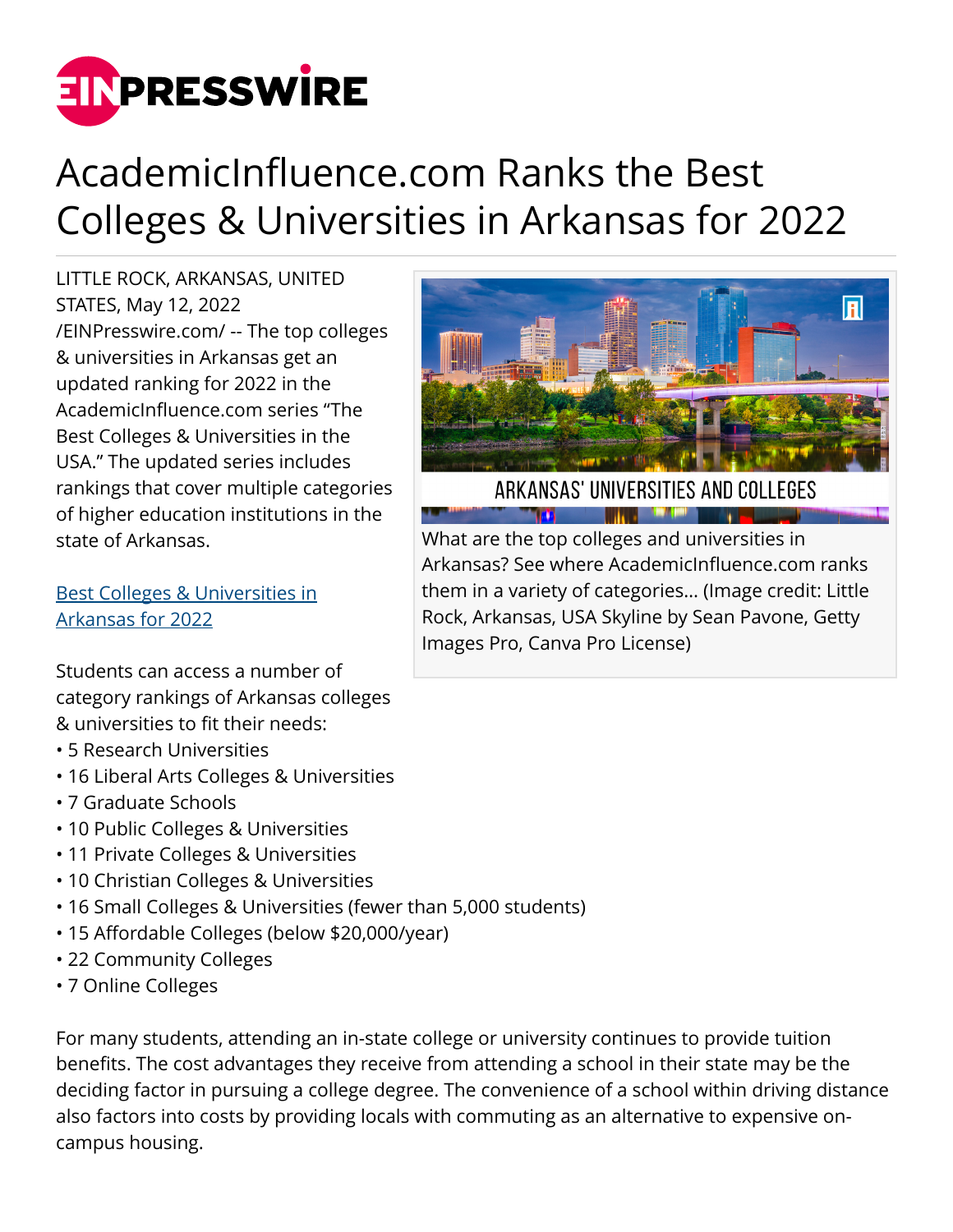

## AcademicInfluence.com Ranks the Best Colleges & Universities in Arkansas for 2022

LITTLE ROCK, ARKANSAS, UNITED STATES, May 12, 2022 [/EINPresswire.com/](http://www.einpresswire.com) -- The top colleges & universities in Arkansas get an updated ranking for 2022 in the AcademicInfluence.com series "The Best Colleges & Universities in the USA." The updated series includes rankings that cover multiple categories of higher education institutions in the state of Arkansas.

[Best Colleges & Universities in](https://academicinfluence.com/go/statehub/ar) [Arkansas for 2022](https://academicinfluence.com/go/statehub/ar)

Students can access a number of category rankings of Arkansas colleges & universities to fit their needs:

- 5 Research Universities
- 16 Liberal Arts Colleges & Universities
- 7 Graduate Schools
- 10 Public Colleges & Universities
- 11 Private Colleges & Universities
- 10 Christian Colleges & Universities
- 16 Small Colleges & Universities (fewer than 5,000 students)
- 15 Affordable Colleges (below \$20,000/year)
- 22 Community Colleges
- 7 Online Colleges

For many students, attending an in-state college or university continues to provide tuition benefits. The cost advantages they receive from attending a school in their state may be the deciding factor in pursuing a college degree. The convenience of a school within driving distance also factors into costs by providing locals with commuting as an alternative to expensive oncampus housing.



ARKANSAS' UNIVERSITIES AND COLLEGES **The Communication of the Communication** 

What are the top colleges and universities in Arkansas? See where AcademicInfluence.com ranks them in a variety of categories… (Image credit: Little Rock, Arkansas, USA Skyline by Sean Pavone, Getty Images Pro, Canva Pro License)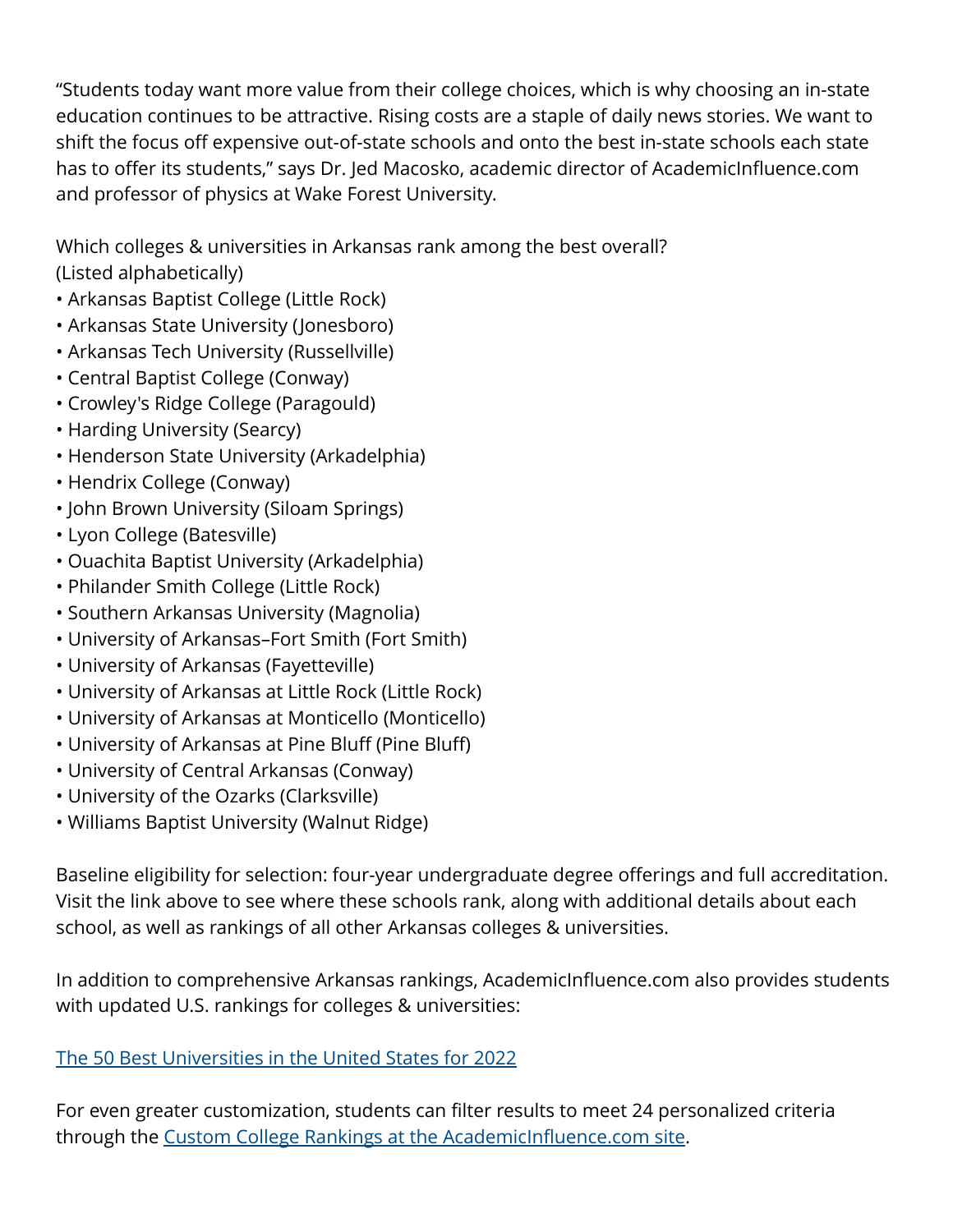"Students today want more value from their college choices, which is why choosing an in-state education continues to be attractive. Rising costs are a staple of daily news stories. We want to shift the focus off expensive out-of-state schools and onto the best in-state schools each state has to offer its students," says Dr. Jed Macosko, academic director of AcademicInfluence.com and professor of physics at Wake Forest University.

Which colleges & universities in Arkansas rank among the best overall? (Listed alphabetically)

- Arkansas Baptist College (Little Rock)
- Arkansas State University (Jonesboro)
- Arkansas Tech University (Russellville)
- Central Baptist College (Conway)
- Crowley's Ridge College (Paragould)
- Harding University (Searcy)
- Henderson State University (Arkadelphia)
- Hendrix College (Conway)
- John Brown University (Siloam Springs)
- Lyon College (Batesville)
- Ouachita Baptist University (Arkadelphia)
- Philander Smith College (Little Rock)
- Southern Arkansas University (Magnolia)
- University of Arkansas–Fort Smith (Fort Smith)
- University of Arkansas (Fayetteville)
- University of Arkansas at Little Rock (Little Rock)
- University of Arkansas at Monticello (Monticello)
- University of Arkansas at Pine Bluff (Pine Bluff)
- University of Central Arkansas (Conway)
- University of the Ozarks (Clarksville)
- Williams Baptist University (Walnut Ridge)

Baseline eligibility for selection: four-year undergraduate degree offerings and full accreditation. Visit the link above to see where these schools rank, along with additional details about each school, as well as rankings of all other Arkansas colleges & universities.

In addition to comprehensive Arkansas rankings, AcademicInfluence.com also provides students with updated U.S. rankings for colleges & universities:

## [The 50 Best Universities in the United States for 2022](https://academicinfluence.com/go/statehub/usa)

For even greater customization, students can filter results to meet 24 personalized criteria through the [Custom College Rankings at the AcademicInfluence.com site](https://academicinfluence.com/go/statehub/ccr).